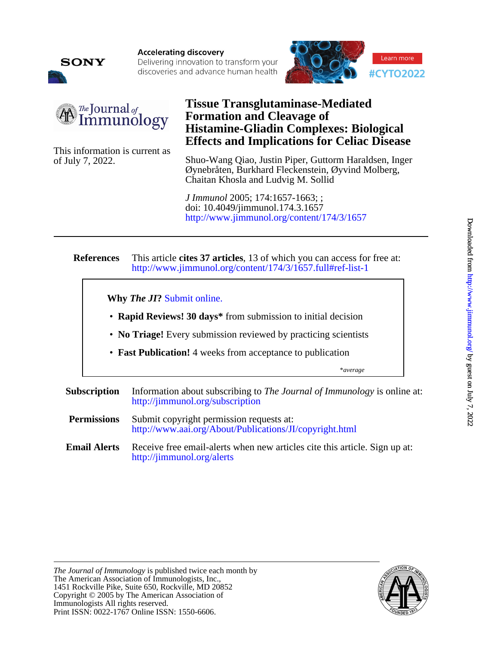

**Accelerating discovery** Delivering innovation to transform your discoveries and advance human health





of July 7, 2022.

## This information is current as **Effects and Implications for Celiac Disease Histamine-Gliadin Complexes: Biological Formation and Cleavage of Tissue Transglutaminase-Mediated**

Chaitan Khosla and Ludvig M. Sollid Øynebråten, Burkhard Fleckenstein, Øyvind Molberg, Shuo-Wang Qiao, Justin Piper, Guttorm Haraldsen, Inger

<http://www.jimmunol.org/content/174/3/1657> doi: 10.4049/jimmunol.174.3.1657 *J Immunol* 2005; 174:1657-1663; ;

#### **References** <http://www.jimmunol.org/content/174/3/1657.full#ref-list-1> This article **cites 37 articles**, 13 of which you can access for free at:

**Why** *The JI***?** [Submit online.](https://ji.msubmit.net)

- **Rapid Reviews! 30 days\*** from submission to initial decision
- **No Triage!** Every submission reviewed by practicing scientists
- **Fast Publication!** 4 weeks from acceptance to publication

\**average*

- **Subscription** <http://jimmunol.org/subscription> Information about subscribing to *The Journal of Immunology* is online at:
- **Permissions** <http://www.aai.org/About/Publications/JI/copyright.html> Submit copyright permission requests at:
- **Email Alerts** <http://jimmunol.org/alerts> Receive free email-alerts when new articles cite this article. Sign up at:

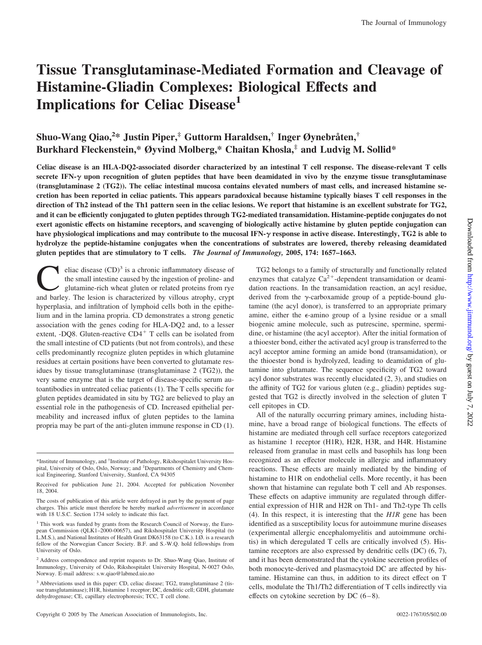# **Tissue Transglutaminase-Mediated Formation and Cleavage of Histamine-Gliadin Complexes: Biological Effects and Implications for Celiac Disease1**

### **Shuo-Wang Qiao,<sup>2</sup> \* Justin Piper,‡ Guttorm Haraldsen,† Inger Øynebråten,† Burkhard Fleckenstein,\* Øyvind Molberg,\* Chaitan Khosla,‡ and Ludvig M. Sollid\***

**Celiac disease is an HLA-DQ2-associated disorder characterized by an intestinal T cell response. The disease-relevant T cells secrete IFN- upon recognition of gluten peptides that have been deamidated in vivo by the enzyme tissue transglutaminase (transglutaminase 2 (TG2)). The celiac intestinal mucosa contains elevated numbers of mast cells, and increased histamine secretion has been reported in celiac patients. This appears paradoxical because histamine typically biases T cell responses in the direction of Th2 instead of the Th1 pattern seen in the celiac lesions. We report that histamine is an excellent substrate for TG2, and it can be efficiently conjugated to gluten peptides through TG2-mediated transamidation. Histamine-peptide conjugates do not exert agonistic effects on histamine receptors, and scavenging of biologically active histamine by gluten peptide conjugation can have physiological implications and may contribute to the mucosal IFN- response in active disease. Interestingly, TG2 is able to hydrolyze the peptide-histamine conjugates when the concentrations of substrates are lowered, thereby releasing deamidated gluten peptides that are stimulatory to T cells.** *The Journal of Immunology,* **2005, 174: 1657–1663.**

eliac disease  $(CD)^3$  is a chronic inflammatory disease of the small intestine caused by the ingestion of proline- and glutamine-rich wheat gluten or related proteins from rye and barley. The lesion is characterized by villous atrophy, crypt hyperplasia, and infiltration of lymphoid cells both in the epithelium and in the lamina propria. CD demonstrates a strong genetic association with the genes coding for HLA-DQ2 and, to a lesser extent, -DQ8. Gluten-reactive  $CD4^+$  T cells can be isolated from the small intestine of CD patients (but not from controls), and these cells predominantly recognize gluten peptides in which glutamine residues at certain positions have been converted to glutamate residues by tissue transglutaminase (transglutaminase 2 (TG2)), the very same enzyme that is the target of disease-specific serum autoantibodies in untreated celiac patients (1). The T cells specific for gluten peptides deamidated in situ by TG2 are believed to play an essential role in the pathogenesis of CD. Increased epithelial permeability and increased influx of gluten peptides to the lamina propria may be part of the anti-gluten immune response in CD (1).

TG2 belongs to a family of structurally and functionally related enzymes that catalyze  $Ca^{2+}$ -dependent transamidation or deamidation reactions. In the transamidation reaction, an acyl residue, derived from the  $\gamma$ -carboxamide group of a peptide-bound glutamine (the acyl donor), is transferred to an appropriate primary amine, either the  $\epsilon$ -amino group of a lysine residue or a small biogenic amine molecule, such as putrescine, spermine, spermidine, or histamine (the acyl acceptor). After the initial formation of a thioester bond, either the activated acyl group is transferred to the acyl acceptor amine forming an amide bond (transamidation), or the thioester bond is hydrolyzed, leading to deamidation of glutamine into glutamate. The sequence specificity of TG2 toward acyl donor substrates was recently elucidated (2, 3), and studies on the affinity of TG2 for various gluten (e.g., gliadin) peptides suggested that TG2 is directly involved in the selection of gluten T cell epitopes in CD.

All of the naturally occurring primary amines, including histamine, have a broad range of biological functions. The effects of histamine are mediated through cell surface receptors categorized as histamine 1 receptor (H1R), H2R, H3R, and H4R. Histamine released from granulae in mast cells and basophils has long been recognized as an effector molecule in allergic and inflammatory reactions. These effects are mainly mediated by the binding of histamine to H1R on endothelial cells. More recently, it has been shown that histamine can regulate both T cell and Ab responses. These effects on adaptive immunity are regulated through differential expression of H1R and H2R on Th1- and Th2-type Th cells (4). In this respect, it is interesting that the *H1R* gene has been identified as a susceptibility locus for autoimmune murine diseases (experimental allergic encephalomyelitis and autoimmune orchitis) in which deregulated T cells are critically involved (5). Histamine receptors are also expressed by dendritic cells (DC) (6, 7), and it has been demonstrated that the cytokine secretion profiles of both monocyte-derived and plasmacytoid DC are affected by histamine. Histamine can thus, in addition to its direct effect on T cells, modulate the Th1/Th2 differentiation of T cells indirectly via effects on cytokine secretion by DC  $(6-8)$ .

<sup>\*</sup>Institute of Immunology, and † Institute of Pathology, Rikshospitalet University Hospital, University of Oslo, Oslo, Norway; and <sup>‡</sup>Departments of Chemistry and Chemical Engineering, Stanford University, Stanford, CA 94305

Received for publication June 21, 2004. Accepted for publication November 18, 2004.

The costs of publication of this article were defrayed in part by the payment of page charges. This article must therefore be hereby marked *advertisement* in accordance with 18 U.S.C. Section 1734 solely to indicate this fact.

<sup>&</sup>lt;sup>1</sup> This work was funded by grants from the Research Council of Norway, the European Commission (QLK1–2000-00657), and Rikshospitalet University Hospital (to L.M.S.), and National Institutes of Health Grant DK63158 (to C.K.). I.Ø. is a research fellow of the Norwegian Cancer Society. B.F. and S.-W.Q. hold fellowships from University of Oslo.

<sup>&</sup>lt;sup>2</sup> Address correspondence and reprint requests to Dr. Shuo-Wang Qiao, Institute of Immunology, University of Oslo, Rikshospitalet University Hospital, N-0027 Oslo, Norway. E-mail address: s.w.qiao@labmed.uio.no

<sup>3</sup> Abbreviations used in this paper: CD, celiac disease; TG2, transglutaminase 2 (tissue transglutaminase); H1R, histamine 1 receptor; DC, dendritic cell; GDH, glutamate dehydrogenase; CE, capillary electrophoresis; TCC, T cell clone.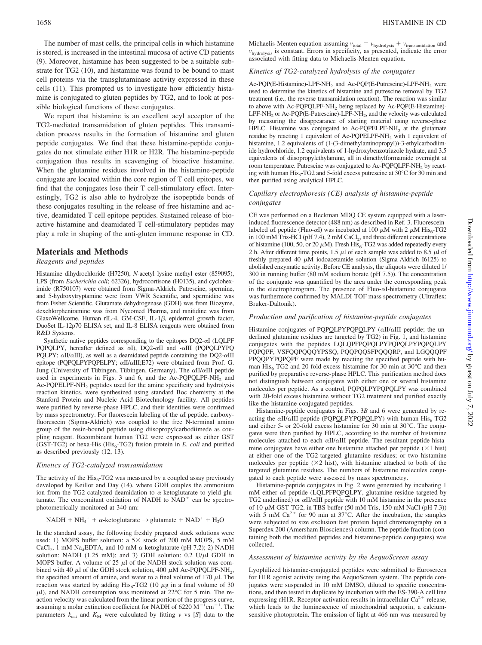The number of mast cells, the principal cells in which histamine is stored, is increased in the intestinal mucosa of active CD patients (9). Moreover, histamine has been suggested to be a suitable substrate for TG2 (10), and histamine was found to be bound to mast cell proteins via the transglutaminase activity expressed in these cells (11). This prompted us to investigate how efficiently histamine is conjugated to gluten peptides by TG2, and to look at possible biological functions of these conjugates.

We report that histamine is an excellent acyl acceptor of the TG2-mediated transamidation of gluten peptides. This transamidation process results in the formation of histamine and gluten peptide conjugates. We find that these histamine-peptide conjugates do not stimulate either H1R or H2R. The histamine-peptide conjugation thus results in scavenging of bioactive histamine. When the glutamine residues involved in the histamine-peptide conjugate are located within the core region of T cell epitopes, we find that the conjugates lose their T cell-stimulatory effect. Interestingly, TG2 is also able to hydrolyze the isopeptide bonds of these conjugates resulting in the release of free histamine and active, deamidated T cell epitope peptides. Sustained release of bioactive histamine and deamidated T cell-stimulatory peptides may play a role in shaping of the anti-gluten immune response in CD.

#### **Materials and Methods**

#### *Reagents and peptides*

Histamine dihydrochloride (H7250), *N*-acetyl lysine methyl ester (859095), LPS (from *Escherichia coli*; 62326), hydrocortisone (H0135), and cycloheximide (R750107) were obtained from Sigma-Aldrich. Putrescine, spermine, and 5-hydroxytryptamine were from VWR Scientific, and spermidine was from Fisher Scientific. Glutamate dehydrogenase (GDH) was from Biozyme, dexchlorpheniramine was from Nycomed Pharma, and ranitidine was from GlaxoWellcome. Human rIL-4, GM-CSF, IL-1 $\beta$ , epidermal growth factor, DuoSet IL-12p70 ELISA set, and IL-8 ELISA reagents were obtained from R&D Systems.

Synthetic native peptides corresponding to the epitopes  $DQ2-\alpha I$  (LQLPF PQPQLPY, hereafter defined as  $\alpha I$ ), DQ2- $\alpha II$  and - $\alpha III$  (PQPQLPYPQ PQLPY;  $\alpha$ II/ $\alpha$ III), as well as a deamidated peptide containing the DQ2- $\alpha$ III epitope (PQPQLPYPQPELPY;  $\alpha$ II/ $\alpha$ III;E72) were obtained from Prof. G. Jung (University of Tübingen, Tübingen, Germany). The  $\alpha$ II/ $\alpha$ III peptide used in experiments in Figs. 3 and 6, and the Ac-PQPQLPF-NH<sub>2</sub> and Ac-PQPELPF-NH<sub>2</sub> peptides used for the amine specificity and hydrolysis reaction kinetics, were synthesized using standard Boc chemistry at the Stanford Protein and Nucleic Acid Biotechnology facility. All peptides were purified by reverse-phase HPLC, and their identities were confirmed by mass spectrometry. For fluorescein labeling of the  $\alpha I$  peptide, carboxyfluorescein (Sigma-Aldrich) was coupled to the free N-terminal amino group of the resin-bound peptide using diisopropylcarbodiimede as coupling reagent. Recombinant human TG2 were expressed as either GST (GST-TG2) or hexa-His ( $His<sub>6</sub>-TG2$ ) fusion protein in *E. coli* and purified as described previously (12, 13).

#### *Kinetics of TG2-catalyzed transamidation*

The activity of the  $His<sub>6</sub>-TG2$  was measured by a coupled assay previously developed by Keillor and Day (14), where GDH couples the ammonium ion from the TG2-catalyzed deamidation to  $\alpha$ -ketoglutarate to yield glutamate. The concomitant oxidation of NADH to  $NAD<sup>+</sup>$  can be spectrophotometrically monitored at 340 nm:

$$
NADH + NH_{4}^+ + \alpha\text{-ketoglutarate} \rightarrow \text{glutamate} + NAD^+ + H_2O
$$

In the standard assay, the following freshly prepared stock solutions were used: 1) MOPS buffer solution: a  $5 \times$  stock of 200 mM MOPS, 5 mM CaCl<sub>2</sub>, 1 mM Na<sub>4</sub>EDTA, and 10 mM  $\alpha$ -ketoglutarate (pH 7.2); 2) NADH solution: NADH (1.25 mM); and 3) GDH solution:  $0.2$  U/ $\mu$ l GDH in MOPS buffer. A volume of 25  $\mu$ l of the NADH stock solution was combined with 40  $\mu$ l of the GDH stock solution, 400  $\mu$ M Ac-PQPQLPF-NH<sub>2</sub>, the specified amount of amine, and water to a final volume of  $170 \mu$ . The reaction was started by adding  $His<sub>6</sub>-TG2$  (10  $\mu$ g in a final volume of 30  $\mu$ l), and NADH consumption was monitored at 22°C for 5 min. The reaction velocity was calculated from the linear portion of the progress curve, assuming a molar extinction coefficient for NADH of 6220  $\rm M^{-1}cm^{-1}$ . The parameters  $k_{\text{cat}}$  and  $K_{\text{M}}$  were calculated by fitting *v* vs [*S*] data to the Michaelis-Menten equation assuming  $v_{total} = v_{hydrolysis} + v_{transamidation}$  and *v*hydrolysis is constant. Errors in specificity, as presented, indicate the error associated with fitting data to Michaelis-Menten equation.

#### *Kinetics of TG2-catalyzed hydrolysis of the conjugates*

Ac-POP(E-Histamine)-LPF-NH<sub>2</sub> and Ac-POP(E-Putrescine)-LPF-NH<sub>2</sub> were used to determine the kinetics of histamine and putrescine removal by TG2 treatment (i.e., the reverse transamidation reaction). The reaction was similar to above with Ac-PQPQLPF-NH<sub>2</sub> being replaced by Ac-PQP(E-Histamine)-LPF-NH<sub>2</sub> or Ac-PQP(E-Putrescine)-LPF-NH<sub>2</sub>, and the velocity was calculated by measuring the disappearance of starting material using reverse-phase HPLC. Histamine was conjugated to Ac-PQPELPF-NH<sub>2</sub> at the glutamate residue by reacting 1 equivalent of Ac-POPELPF-NH<sub>2</sub> with 1 equivalent of histamine, 1.2 equivalents of (1-(3-dimethylaminopropyl))-3-ethylcarbodiimide hydrochloride, 1.2 equivalents of 1-hydroxybenzotriazole hydrate, and 3.5 equivalents of diisopropylethylamine, all in dimethylformamide overnight at room temperature. Putrescine was conjugated to Ac-PQPQLPF-NH<sub>2</sub> by reacting with human  $\mathrm{His}_6$ -TG2 and 5-fold excess putrescine at 30°C for 30 min and then purified using analytical HPLC.

#### *Capillary electrophoresis (CE) analysis of histamine-peptide conjugates*

CE was performed on a Beckman MDQ CE system equipped with a laserinduced fluorescence detector (488 nm) as described in Ref. 3. Fluoresceinlabeled  $\alpha I$  peptide (Fluo- $\alpha I$ ) was incubated at 100  $\mu$ M with 2  $\mu$ M His<sub>6</sub>-TG2 in 100 mM Tris-HCl (pH 7.4), 2 mM CaCl<sub>2</sub>, and three different concentrations of histamine (100, 50, or 20  $\mu$ M). Fresh His<sub>6</sub>-TG2 was added repeatedly every 2 h. After different time points, 1.5  $\mu$ l of each sample was added to 8.5  $\mu$ l of freshly prepared 40  $\mu$ M iodoacetamide solution (Sigma-Aldrich I6125) to abolished enzymatic activity. Before CE analysis, the aliquots were diluted 1/ 300 in running buffer (80 mM sodium borate (pH 7.5)). The concentration of the conjugate was quantified by the area under the corresponding peak in the electropherogram. The presence of Fluo- $\alpha$ I-histamine conjugates was furthermore confirmed by MALDI-TOF mass spectrometry (Ultraflex; Bruker-Daltonik).

#### *Production and purification of histamine-peptide conjugates*

Histamine conjugates of PQPQLPYPQPQLPY  $(\alpha II/\alpha III)$  peptide; the underlined glutamine residues are targeted by TG2) in Fig. 1, and histamine conjugates with the peptides LQLQPFPQPQLPYPQPQLPYPQPQLPY PQPQPF, VSFQQPQQQYPSSQ, PQQPQQSFPQQQRP, and LGQQQPF PPQQPYPQPQPF were made by reacting the specified peptide with human  $His<sub>6</sub>-TG2$  and 20-fold excess histamine for 30 min at 30 $°C$  and then purified by preparative reverse-phase HPLC. This purification method does not distinguish between conjugates with either one or several histamine molecules per peptide. As a control, PQPQLPYPQPQLPY was combined with 20-fold excess histamine without TG2 treatment and purified exactly like the histamine-conjugated peptides.

Histamine-peptide conjugates in Figs. 3*B* and 6 were generated by reacting the  $\alpha$ II/ $\alpha$ III peptide (PQPQLPYPQPQLPY) with human  $His_{6}$ -TG2 and either 5- or 20-fold excess histamine for 30 min at 30°C. The conjugates were then purified by HPLC, according to the number of histamine molecules attached to each  $\alpha$ II/ $\alpha$ III peptide. The resultant peptide-histamine conjugates have either one histamine attached per peptide  $(\times 1$  hist) at either one of the TG2-targeted glutamine residues; or two histamine molecules per peptide  $(\times 2$  hist), with histamine attached to both of the targeted glutamine residues. The numbers of histamine molecules conjugated to each peptide were assessed by mass spectrometry.

Histamine-peptide conjugates in Fig. 2 were generated by incubating 1 mM either  $\alpha I$  peptide (LQLPFPQPQLPY, glutamine residue targeted by TG2 underlined) or  $\alpha$ II/ $\alpha$ III peptide with 10 mM histamine in the presence of 10  $\mu$ M GST-TG2, in TBS buffer (50 mM Tris, 150 mM NaCl (pH 7.3)) with 5 mM  $Ca^{2+}$  for 90 min at 37°C. After the incubation, the samples were subjected to size exclusion fast protein liquid chromatography on a Superdex 200 (Amersham Biosciences) column. The peptide fraction (containing both the modified peptides and histamine-peptide conjugates) was collected.

#### *Assessment of histamine activity by the AequoScreen assay*

Lyophilized histamine-conjugated peptides were submitted to Euroscreen for H1R agonist activity using the AequoScreen system. The peptide conjugates were suspended in 10 mM DMSO, diluted to specific concentrations, and then tested in duplicate by incubation with the ES-390-A cell line expressing rH1R. Receptor activation results in intracellular  $Ca^{2+}$  release, which leads to the luminescence of mitochondrial aequorin, a calciumsensitive photoprotein. The emission of light at 466 nm was measured by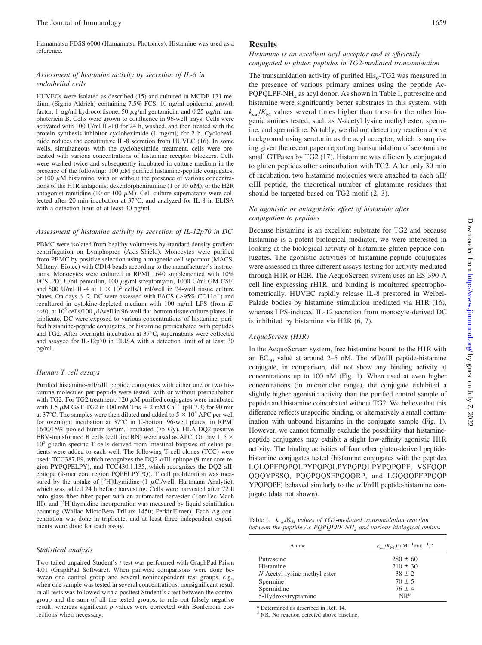Hamamatsu FDSS 6000 (Hamamatsu Photonics). Histamine was used as a reference.

#### *Assessment of histamine activity by secretion of IL-8 in endothelial cells*

HUVECs were isolated as described (15) and cultured in MCDB 131 medium (Sigma-Aldrich) containing 7.5% FCS, 10 ng/ml epidermal growth factor, 1  $\mu$ g/ml hydrocortisone, 50  $\mu$ g/ml gentamicin, and 0.25  $\mu$ g/ml amphotericin B. Cells were grown to confluence in 96-well trays. Cells were activated with 100 U/ml IL-1 $\beta$  for 24 h, washed, and then treated with the protein synthesis inhibitor cycloheximide (1 mg/ml) for 2 h. Cycloheximide reduces the constitutive IL-8 secretion from HUVEC (16). In some wells, simultaneous with the cycloheximide treatment, cells were pretreated with various concentrations of histamine receptor blockers. Cells were washed twice and subsequently incubated in culture medium in the presence of the following: 100  $\mu$ M purified histamine-peptide conjugates; or 100  $\mu$ M histamine, with or without the presence of various concentrations of the H1R antagonist dexchlorpheniramine (1 or 10  $\mu$ M), or the H2R antagonist ranitidine (10 or 100  $\mu$ M). Cell culture supernatants were collected after 20-min incubation at 37°C, and analyzed for IL-8 in ELISA with a detection limit of at least 30 pg/ml.

#### *Assessment of histamine activity by secretion of IL-12p70 in DC*

PBMC were isolated from healthy volunteers by standard density gradient centrifugation on Lymphoprep (Axis-Shield). Monocytes were purified from PBMC by positive selection using a magnetic cell separator (MACS; Miltenyi Biotec) with CD14 beads according to the manufacturer's instructions. Monocytes were cultured in RPMI 1640 supplemented with 10% FCS, 200 U/ml penicillin, 100 μg/ml streptomycin, 1000 U/ml GM-CSF, and 500 U/ml IL-4 at  $1 \times 10^6$  cells/1 ml/well in 24-well tissue culture plates. On days  $6-7$ , DC were assessed with FACS ( $>95\%$  CD11c<sup>+</sup>) and recultured in cytokine-depleted medium with 100 ng/ml LPS (from *E. coli*), at  $10^5$  cells/100  $\mu$ l/well in 96-well flat-bottom tissue culture plates. In triplicate, DC were exposed to various concentrations of histamine, purified histamine-peptide conjugates, or histamine preincubated with peptides and TG2. After overnight incubation at 37°C, supernatants were collected and assayed for IL-12p70 in ELISA with a detection limit of at least 30 pg/ml.

#### *Human T cell assays*

Purified histamine- $\alpha$ II/ $\alpha$ III peptide conjugates with either one or two histamine molecules per peptide were tested, with or without preincubation with TG2. For TG2 treatment, 120  $\mu$ M purified conjugates were incubated with 1.5  $\mu$ M GST-TG2 in 100 mM Tris + 2 mM Ca<sup>2+</sup> (pH 7.3) for 90 min at 37°C. The samples were then diluted and added to  $5 \times 10^5$  APC per well for overnight incubation at 37°C in U-bottom 96-well plates, in RPMI 1640/15% pooled human serum. Irradiated (75 Gy), HLA-DQ2-positive EBV-transformed B cells (cell line RN) were used as APC. On day 1, 5  $\times$  $10<sup>5</sup>$  gliadin-specific T cells derived from intestinal biopsies of celiac patients were added to each well. The following T cell clones (TCC) were used: TCC387.E9, which recognizes the DQ2- $\alpha$ III-epitope (9-mer core region PYPQPELPY), and TCC430.1.135, which recognizes the DQ2- $\alpha$ IIepitope (9-mer core region PQPELPYPQ). T cell proliferation was measured by the uptake of  $[^{3}H]$ thymidine (1  $\mu$ Ci/well; Hartmann Analytic), which was added 24 h before harvesting. Cells were harvested after 72 h onto glass fiber filter paper with an automated harvester (TomTec Mach III), and [<sup>3</sup>H]thymidine incorporation was measured by liquid scintillation counting (Wallac MicroBeta TriLux 1450; PerkinElmer). Each Ag concentration was done in triplicate, and at least three independent experiments were done for each assay.

#### *Statistical analysis*

Two-tailed unpaired Student's *t* test was performed with GraphPad Prism 4.01 (GraphPad Software). When pairwise comparisons were done between one control group and several nonindependent test groups, e.g., when one sample was tested in several concentrations, nonsignificant result in all tests was followed with a posttest Student's *t* test between the control group and the sum of all the tested groups, to rule out falsely negative result; whereas significant *p* values were corrected with Bonferroni corrections when necessary.

#### **Results**

#### *Histamine is an excellent acyl acceptor and is efficiently conjugated to gluten peptides in TG2-mediated transamidation*

The transamidation activity of purified  $His<sub>6</sub>-TG2$  was measured in the presence of various primary amines using the peptide Ac-PQPQLPF-NH<sub>2</sub> as acyl donor. As shown in Table I, putrescine and histamine were significantly better substrates in this system, with  $k_{\text{cat}}/K_{\text{M}}$  values several times higher than those for the other biogenic amines tested, such as *N*-acetyl lysine methyl ester, spermine, and spermidine. Notably, we did not detect any reaction above background using serotonin as the acyl acceptor, which is surprising given the recent paper reporting transamidation of serotonin to small GTPases by TG2 (17). Histamine was efficiently conjugated to gluten peptides after coincubation with TG2. After only 30 min of incubation, two histamine molecules were attached to each  $\alpha$ II/  $\alpha$ III peptide, the theoretical number of glutamine residues that should be targeted based on TG2 motif (2, 3).

#### *No agonistic or antagonistic effect of histamine after conjugation to peptides*

Because histamine is an excellent substrate for TG2 and because histamine is a potent biological mediator, we were interested in looking at the biological activity of histamine-gluten peptide conjugates. The agonistic activities of histamine-peptide conjugates were assessed in three different assays testing for activity mediated through H1R or H2R. The AequoScreen system uses an ES-390-A cell line expressing rH1R, and binding is monitored spectrophotometrically. HUVEC rapidly release IL-8 prestored in Weibel-Palade bodies by histamine stimulation mediated via H1R (16), whereas LPS-induced IL-12 secretion from monocyte-derived DC is inhibited by histamine via H2R (6, 7).

#### *AequoScreen (H1R)*

In the AequoScreen system, free histamine bound to the H1R with an EC<sub>50</sub> value at around 2–5 nM. The  $\alpha$ II/ $\alpha$ III peptide-histamine conjugate, in comparison, did not show any binding activity at concentrations up to 100 nM (Fig. 1). When used at even higher concentrations (in micromolar range), the conjugate exhibited a slightly higher agonistic activity than the purified control sample of peptide and histamine coincubated without TG2. We believe that this difference reflects unspecific binding, or alternatively a small contamination with unbound histamine in the conjugate sample (Fig. 1). However, we cannot formally exclude the possibility that histaminepeptide conjugates may exhibit a slight low-affinity agonistic H1R activity. The binding activities of four other gluten-derived peptidehistamine conjugates tested (histamine conjugates with the peptides LQLQPFPQPQLPYPQPQLPYPQPQLPYPQPQPF, VSFQQP QQQYPSSQ, PQQPQQSFPQQQRP, and LGQQQPFPPQQP YPQPQPF) behaved similarly to the  $\alpha$ II/ $\alpha$ III peptide-histamine conjugate (data not shown).

Table I. *k<sub>cat</sub>*/K<sub>M</sub> values of TG2-mediated transamidation reaction *between the peptide Ac-PQPQLPF-NH<sub>2</sub> and various biological amines* 

| Amine                        | $k_{\rm cut}/K_{\rm M}$ (mM <sup>-1</sup> min <sup>-1</sup> ) <sup>a</sup> |
|------------------------------|----------------------------------------------------------------------------|
| Putrescine                   | $280 \pm 60$                                                               |
| Histamine                    | $210 \pm 30$                                                               |
| N-Acetyl lysine methyl ester | $38 \pm 2$                                                                 |
| Spermine                     | $70 + 5$                                                                   |
| Spermidine                   | $76 + 4$                                                                   |
| 5-Hydroxytryptamine          | $NR^b$                                                                     |

*<sup>a</sup>* Determined as described in Ref. 14.

*<sup>b</sup>* NR, No reaction detected above baseline.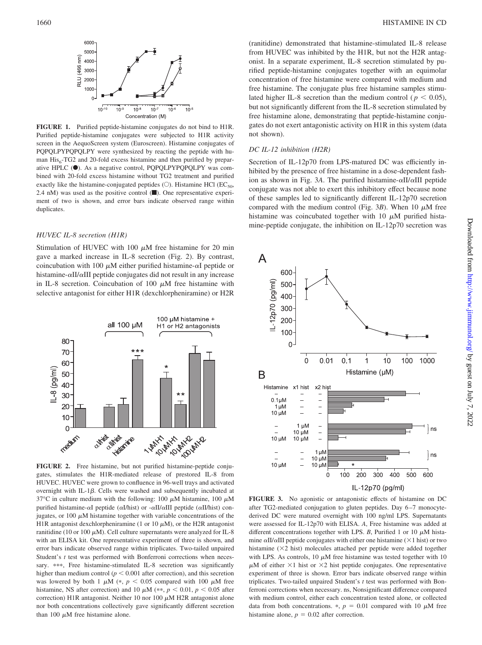

**FIGURE 1.** Purified peptide-histamine conjugates do not bind to H1R. Purified peptide-histamine conjugates were subjected to H1R activity screen in the AequoScreen system (Euroscreen). Histamine conjugates of PQPQLPYPQPQLPY were synthesized by reacting the peptide with human  $His<sub>6</sub>-TG2$  and 20-fold excess histamine and then purified by preparative HPLC ( $\bullet$ ). As a negative control, PQPQLPYPQPQLPY was combined with 20-fold excess histamine without TG2 treatment and purified exactly like the histamine-conjugated peptides ( $\circ$ ). Histamine HCl ( $EC_{50}$ , 2.4 nM) was used as the positive control  $(\blacksquare)$ . One representative experiment of two is shown, and error bars indicate observed range within duplicates.

#### *HUVEC IL-8 secretion (H1R)*

Stimulation of HUVEC with 100  $\mu$ M free histamine for 20 min gave a marked increase in IL-8 secretion (Fig. 2). By contrast, coincubation with 100  $\mu$ M either purified histamine- $\alpha$ I peptide or histamine- $\alpha$ II/ $\alpha$ III peptide conjugates did not result in any increase in IL-8 secretion. Coincubation of 100  $\mu$ M free histamine with selective antagonist for either H1R (dexchlorpheniramine) or H2R



**FIGURE 2.** Free histamine, but not purified histamine-peptide conjugates, stimulates the H1R-mediated release of prestored IL-8 from HUVEC. HUVEC were grown to confluence in 96-well trays and activated overnight with IL-1 $\beta$ . Cells were washed and subsequently incubated at 37°C in culture medium with the following: 100  $\mu$ M histamine, 100  $\mu$ M purified histamine- $\alpha I$  peptide ( $\alpha I/h$ ist) or - $\alpha II/\alpha III$  peptide ( $\alpha II/h$ ist) conjugates, or 100  $\mu$ M histamine together with variable concentrations of the H1R antagonist dexchlorpheniramine (1 or 10  $\mu$ M), or the H2R antagonist ranitidine (10 or 100  $\mu$ M). Cell culture supernatants were analyzed for IL-8 with an ELISA kit. One representative experiment of three is shown, and error bars indicate observed range within triplicates. Two-tailed unpaired Student's *t* test was performed with Bonferroni corrections when necessary. \*\*\*, Free histamine-stimulated IL-8 secretion was significantly higher than medium control ( $p < 0.001$  after correction), and this secretion was lowered by both 1  $\mu$ M (\*,  $p < 0.05$  compared with 100  $\mu$ M free histamine, NS after correction) and 10  $\mu$ M (\*\*,  $p < 0.01$ ,  $p < 0.05$  after correction) H1R antagonist. Neither 10 nor 100  $\mu$ M H2R antagonist alone nor both concentrations collectively gave significantly different secretion than 100  $\mu$ M free histamine alone.

(ranitidine) demonstrated that histamine-stimulated IL-8 release from HUVEC was inhibited by the H1R, but not the H2R antagonist. In a separate experiment, IL-8 secretion stimulated by purified peptide-histamine conjugates together with an equimolar concentration of free histamine were compared with medium and free histamine. The conjugate plus free histamine samples stimulated higher IL-8 secretion than the medium control ( $p < 0.05$ ), but not significantly different from the IL-8 secretion stimulated by free histamine alone, demonstrating that peptide-histamine conjugates do not exert antagonistic activity on H1R in this system (data not shown).

#### *DC IL-12 inhibition (H2R)*

Secretion of IL-12p70 from LPS-matured DC was efficiently inhibited by the presence of free histamine in a dose-dependent fashion as shown in Fig. 3A. The purified histamine- $\alpha$ II/ $\alpha$ III peptide conjugate was not able to exert this inhibitory effect because none of these samples led to significantly different IL-12p70 secretion compared with the medium control (Fig.  $3B$ ). When 10  $\mu$ M free histamine was coincubated together with 10  $\mu$ M purified histamine-peptide conjugate, the inhibition on IL-12p70 secretion was



**FIGURE 3.** No agonistic or antagonistic effects of histamine on DC after TG2-mediated conjugation to gluten peptides. Day 6 –7 monocytederived DC were matured overnight with 100 ng/ml LPS. Supernatants were assessed for IL-12p70 with ELISA. *A*, Free histamine was added at different concentrations together with LPS.  $B$ , Purified 1 or 10  $\mu$ M histamine  $\alpha$ II/ $\alpha$ III peptide conjugates with either one histamine ( $\times$ 1 hist) or two histamine  $(\times 2$  hist) molecules attached per peptide were added together with LPS. As controls, 10  $\mu$ M free histamine was tested together with 10  $\mu$ M of either  $\times$ 1 hist or  $\times$ 2 hist peptide conjugates. One representative experiment of three is shown. Error bars indicate observed range within triplicates. Two-tailed unpaired Student's *t* test was performed with Bonferroni corrections when necessary. ns, Nonsignificant difference compared with medium control, either each concentration tested alone, or collected data from both concentrations.  $\ast$ ,  $p = 0.01$  compared with 10  $\mu$ M free histamine alone,  $p = 0.02$  after correction.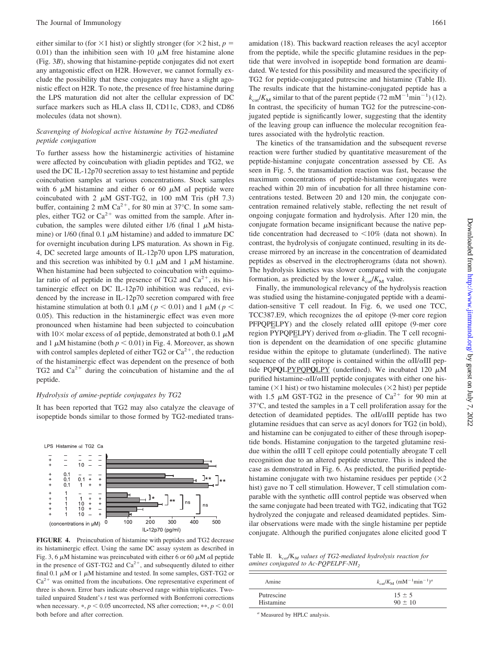either similar to (for  $\times$ 1 hist) or slightly stronger (for  $\times$ 2 hist, *p* = 0.01) than the inhibition seen with 10  $\mu$ M free histamine alone (Fig. 3*B*), showing that histamine-peptide conjugates did not exert any antagonistic effect on H2R. However, we cannot formally exclude the possibility that these conjugates may have a slight agonistic effect on H2R. To note, the presence of free histamine during the LPS maturation did not alter the cellular expression of DC surface markers such as HLA class II, CD11c, CD83, and CD86 molecules (data not shown).

#### *Scavenging of biological active histamine by TG2-mediated peptide conjugation*

To further assess how the histaminergic activities of histamine were affected by coincubation with gliadin peptides and TG2, we used the DC IL-12p70 secretion assay to test histamine and peptide coincubation samples at various concentrations. Stock samples with 6  $\mu$ M histamine and either 6 or 60  $\mu$ M  $\alpha$ I peptide were coincubated with 2  $\mu$ M GST-TG2, in 100 mM Tris (pH 7.3) buffer, containing 2 mM  $Ca^{2+}$ , for 80 min at 37°C. In some samples, either TG2 or  $Ca^{2+}$  was omitted from the sample. After incubation, the samples were diluted either  $1/6$  (final 1  $\mu$ M histamine) or  $1/60$  (final 0.1  $\mu$ M histamine) and added to immature DC for overnight incubation during LPS maturation. As shown in Fig. 4, DC secreted large amounts of IL-12p70 upon LPS maturation, and this secretion was inhibited by 0.1  $\mu$ M and 1  $\mu$ M histamine. When histamine had been subjected to coincubation with equimolar ratio of  $\alpha I$  peptide in the presence of TG2 and  $Ca^{2+}$ , its histaminergic effect on DC IL-12p70 inhibition was reduced, evidenced by the increase in IL-12p70 secretion compared with free histamine stimulation at both 0.1  $\mu$ M ( $p < 0.01$ ) and 1  $\mu$ M ( $p <$ 0.05). This reduction in the histaminergic effect was even more pronounced when histamine had been subjected to coincubation with  $10\times$  molar excess of  $\alpha I$  peptide, demonstrated at both 0.1  $\mu$ M and 1  $\mu$ M histamine (both  $p < 0.01$ ) in Fig. 4. Moreover, as shown with control samples depleted of either TG2 or  $Ca^{2+}$ , the reduction of the histaminergic effect was dependent on the presence of both TG2 and  $Ca^{2+}$  during the coincubation of histamine and the  $\alpha I$ peptide.

#### *Hydrolysis of amine-peptide conjugates by TG2*

It has been reported that TG2 may also catalyze the cleavage of isopeptide bonds similar to those formed by TG2-mediated trans-



**FIGURE 4.** Preincubation of histamine with peptides and TG2 decrease its histaminergic effect. Using the same DC assay system as described in Fig. 3, 6  $\mu$ M histamine was preincubated with either 6 or 60  $\mu$ M  $\alpha$ I peptide in the presence of GST-TG2 and  $Ca^{2+}$ , and subsequently diluted to either final 0.1  $\mu$ M or 1  $\mu$ M histamine and tested. In some samples, GST-TG2 or  $Ca<sup>2+</sup>$  was omitted from the incubations. One representative experiment of three is shown. Error bars indicate observed range within triplicates. Twotailed unpaired Student's *t* test was performed with Bonferroni corrections when necessary.  $\ast$ ,  $p < 0.05$  uncorrected, NS after correction;  $\ast \ast$ ,  $p < 0.01$ both before and after correction.

amidation (18). This backward reaction releases the acyl acceptor from the peptide, while the specific glutamine residues in the peptide that were involved in isopeptide bond formation are deamidated. We tested for this possibility and measured the specificity of TG2 for peptide-conjugated putrescine and histamine (Table II). The results indicate that the histamine-conjugated peptide has a  $k_{\text{cat}}/K_{\text{M}}$  similar to that of the parent peptide (72 mM<sup>-1</sup>min<sup>-1</sup>) (12). In contrast, the specificity of human TG2 for the putrescine-conjugated peptide is significantly lower, suggesting that the identity of the leaving group can influence the molecular recognition features associated with the hydrolytic reaction.

The kinetics of the transamidation and the subsequent reverse reaction were further studied by quantitative measurement of the peptide-histamine conjugate concentration assessed by CE. As seen in Fig. 5, the transamidation reaction was fast, because the maximum concentrations of peptide-histamine conjugates were reached within 20 min of incubation for all three histamine concentrations tested. Between 20 and 120 min, the conjugate concentration remained relatively stable, reflecting the net result of ongoing conjugate formation and hydrolysis. After 120 min, the conjugate formation became insignificant because the native peptide concentration had decreased to  $\leq 10\%$  (data not shown). In contrast, the hydrolysis of conjugate continued, resulting in its decrease mirrored by an increase in the concentration of deamidated peptides as observed in the electropherograms (data not shown). The hydrolysis kinetics was slower compared with the conjugate formation, as predicted by the lower  $k_{\text{cat}}/K_{\text{M}}$  value.

Finally, the immunological relevancy of the hydrolysis reaction was studied using the histamine-conjugated peptide with a deamidation-sensitive T cell readout. In Fig. 6, we used one TCC, TCC387.E9, which recognizes the  $\alpha I$  epitope (9-mer core region  $PFPQPELPY$ ) and the closely related  $\alpha III$  epitope (9-mer core region PYPOPELPY) derived from  $\alpha$ -gliadin. The T cell recognition is dependent on the deamidation of one specific glutamine residue within the epitope to glutamate (underlined). The native sequence of the  $\alpha$ III epitope is contained within the  $\alpha$ II/ $\alpha$ III peptide PQPQLPYPQPQLPY (underlined). We incubated  $120 \mu M$ purified histamine- $\alpha$ II/ $\alpha$ III peptide conjugates with either one histamine ( $\times$ 1 hist) or two histamine molecules ( $\times$ 2 hist) per peptide with 1.5  $\mu$ M GST-TG2 in the presence of Ca<sup>2+</sup> for 90 min at 37°C, and tested the samples in a T cell proliferation assay for the detection of deamidated peptides. The  $\alpha$ II/ $\alpha$ III peptide has two glutamine residues that can serve as acyl donors for TG2 (in bold), and histamine can be conjugated to either of these through isopeptide bonds. Histamine conjugation to the targeted glutamine residue within the  $\alpha$ III T cell epitope could potentially abrogate T cell recognition due to an altered peptide structure. This is indeed the case as demonstrated in Fig. 6. As predicted, the purified peptidehistamine conjugate with two histamine residues per peptide  $(\times 2)$ hist) gave no T cell stimulation. However, T cell stimulation comparable with the synthetic  $\alpha$ III control peptide was observed when the same conjugate had been treated with TG2, indicating that TG2 hydrolyzed the conjugate and released deamidated peptides. Similar observations were made with the single histamine per peptide conjugate. Although the purified conjugates alone elicited good T

Table II. k*cat*/K*<sup>M</sup> values of TG2-mediated hydrolysis reaction for amines conjugated to Ac-POPELPF-NH<sub>2</sub>* 

| $k_{\rm car}/K_{\rm M}$ (mM <sup>-1</sup> min <sup>-1</sup> ) <sup>a</sup> |
|----------------------------------------------------------------------------|
| $15 \pm 5$<br>$90 \pm 10$                                                  |
|                                                                            |

*<sup>a</sup>* Measured by HPLC analysis.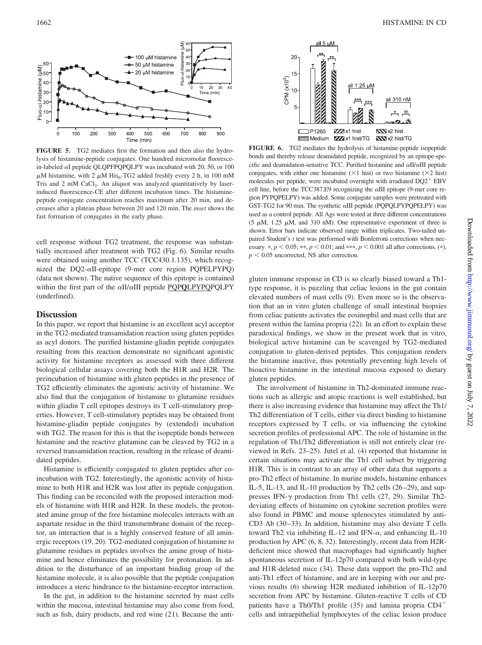

**FIGURE 5.** TG2 mediates first the formation and then also the hydrolysis of histamine-peptide conjugates. One hundred micromolar fluorescein-labeled  $\alpha$ I peptide QLQPFPQPQLPY was incubated with 20, 50, or 100  $\mu$ M histamine, with 2  $\mu$ M His<sub>6</sub>-TG2 added freshly every 2 h, in 100 mM Tris and 2 mM CaCl<sub>2</sub>. An aliquot was analyzed quantitatively by laserinduced fluorescence-CE after different incubation times. The histaminepeptide conjugate concentration reaches maximum after 20 min, and decreases after a plateau phase between 20 and 120 min. The *inset* shows the fast formation of conjugates in the early phase.

cell response without TG2 treatment, the response was substantially increased after treatment with TG2 (Fig. 6). Similar results were obtained using another TCC (TCC430.1.135), which recognized the  $DQ2-\alpha II$ -epitope (9-mer core region PQPELPYPQ) (data not shown). The native sequence of this epitope is contained within the first part of the  $\alpha$ II/ $\alpha$ III peptide PQPQLPYPQPQLPY (underlined).

#### **Discussion**

In this paper, we report that histamine is an excellent acyl acceptor in the TG2-mediated transamidation reaction using gluten peptides as acyl donors. The purified histamine-gliadin peptide conjugates resulting from this reaction demonstrate no significant agonistic activity for histamine receptors as assessed with three different biological cellular assays covering both the H1R and H2R. The preincubation of histamine with gluten peptides in the presence of TG2 efficiently eliminates the agonistic activity of histamine. We also find that the conjugation of histamine to glutamine residues within gliadin T cell epitopes destroys its T cell-stimulatory properties. However, T cell-stimulatory peptides may be obtained from histamine-gliadin peptide conjugates by (extended) incubation with TG2. The reason for this is that the isopeptide bonds between histamine and the reactive glutamine can be cleaved by TG2 in a reversed transamidation reaction, resulting in the release of deamidated peptides.

Histamine is efficiently conjugated to gluten peptides after coincubation with TG2. Interestingly, the agonistic activity of histamine to both H1R and H2R was lost after its peptide conjugation. This finding can be reconciled with the proposed interaction models of histamine with H1R and H2R. In these models, the protonated amine group of the free histamine molecules interacts with an aspartate residue in the third transmembrane domain of the receptor, an interaction that is a highly conserved feature of all aminergic receptors (19, 20). TG2-mediated conjugation of histamine to glutamine residues in peptides involves the amine group of histamine and hence eliminates the possibility for protonation. In addition to the disturbance of an important binding group of the histamine molecule, it is also possible that the peptide conjugation introduces a steric hindrance to the histamine-receptor interaction.

In the gut, in addition to the histamine secreted by mast cells within the mucosa, intestinal histamine may also come from food, such as fish, dairy products, and red wine (21). Because the anti-



**FIGURE 6.** TG2 mediates the hydrolysis of histamine-peptide isopeptide bonds and thereby release deamidated peptide, recognized by an epitope-specific and deamidation-sensitive TCC. Purified histamine and  $\alpha$ II/ $\alpha$ III peptide conjugates, with either one histamine  $(\times 1$  hist) or two histamine  $(\times 2$  hist) molecules per peptide, were incubated overnight with irradiated  $DQ2^+$  EBV cell line, before the TCC387.E9 recognizing the  $\alpha$ III epitope (9-mer core region PYPQPELPY) was added. Some conjugate samples were pretreated with GST-TG2 for 90 min. The synthetic  $\alpha$ III peptide (PQPQLPYPQPELPY) was used as a control peptide. All Ags were tested at three different concentrations (5  $\mu$ M, 1.25  $\mu$ M, and 310 nM). One representative experiment of three is shown. Error bars indicate observed range within triplicates. Two-tailed unpaired Student's *t* test was performed with Bonferroni corrections when necessary.  $\ast$ ,  $p < 0.05$ ;  $\ast \ast$ ,  $p < 0.01$ ; and  $\ast \ast \ast$ ,  $p < 0.001$  all after corrections. ( $\ast$ ),  $p < 0.05$  uncorrected, NS after correction.

gluten immune response in CD is so clearly biased toward a Th1 type response, it is puzzling that celiac lesions in the gut contain elevated numbers of mast cells (9). Even more so is the observation that an in vitro gluten challenge of small intestinal biopsies from celiac patients activates the eosinophil and mast cells that are present within the lamina propria (22). In an effort to explain these paradoxical findings, we show in the present work that in vitro, biological active histamine can be scavenged by TG2-mediated conjugation to gluten-derived peptides. This conjugation renders the histamine inactive, thus potentially preventing high levels of bioactive histamine in the intestinal mucosa exposed to dietary gluten peptides.

The involvement of histamine in Th2-dominated immune reactions such as allergic and atopic reactions is well established, but there is also increasing evidence that histamine may affect the Th1/ Th2 differentiation of T cells, either via direct binding to histamine receptors expressed by T cells, or via influencing the cytokine secretion profiles of professional APC. The role of histamine in the regulation of Th1/Th2 differentiation is still not entirely clear (reviewed in Refs. 23–25). Jutel et al. (4) reported that histamine in certain situations may activate the Th1 cell subset by triggering H1R. This is in contrast to an array of other data that supports a pro-Th2 effect of histamine. In murine models, histamine enhances IL-5, IL-13, and IL-10 production by Th2 cells (26 –29), and suppresses IFN- $\gamma$  production from Th1 cells (27, 29). Similar Th2deviating effects of histamine on cytokine secretion profiles were also found in PBMC and mouse splenocytes stimulated by anti-CD3 Ab (30 –33). In addition, histamine may also deviate T cells toward Th2 via inhibiting IL-12 and IFN- $\alpha$ , and enhancing IL-10 production by APC (6, 8, 32). Interestingly, recent data from H2Rdeficient mice showed that macrophages had significantly higher spontaneous secretion of IL-12p70 compared with both wild-type and H1R-deleted mice (34). These data support the pro-Th2 and anti-Th1 effect of histamine, and are in keeping with our and previous results (6) showing H2R mediated inhibition of IL-12p70 secretion from APC by histamine. Gluten-reactive T cells of CD patients have a Th0/Th1 profile (35) and lamina propria CD4 cells and intraepithelial lymphocytes of the celiac lesion produce